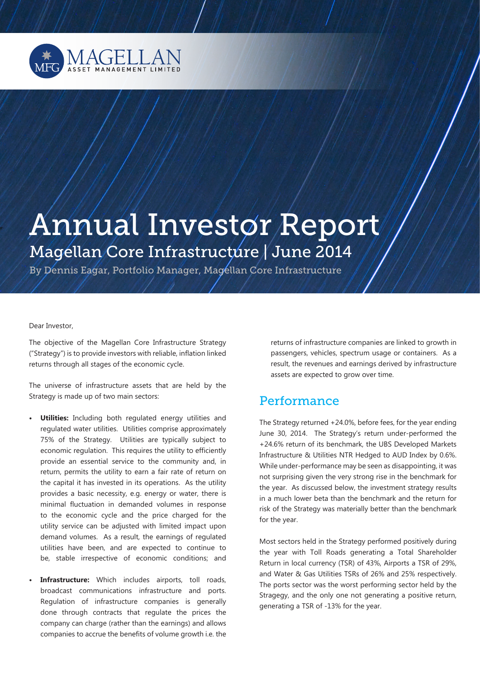

# Annual Investor Report Magellan Core Infrastructure / June 2014

By Dennis Eagar, Portfolio Manager, Magellan Core Infrastructure

Dear Investor,

The objective of the Magellan Core Infrastructure Strategy ("Strategy") is to provide investors with reliable, inflation linked returns through all stages of the economic cycle.

The universe of infrastructure assets that are held by the Strategy is made up of two main sectors:

- **• Utilities:** Including both regulated energy utilities and regulated water utilities. Utilities comprise approximately 75% of the Strategy. Utilities are typically subject to economic regulation. This requires the utility to efficiently provide an essential service to the community and, in return, permits the utility to earn a fair rate of return on the capital it has invested in its operations. As the utility provides a basic necessity, e.g. energy or water, there is minimal fluctuation in demanded volumes in response to the economic cycle and the price charged for the utility service can be adjusted with limited impact upon demand volumes. As a result, the earnings of regulated utilities have been, and are expected to continue to be, stable irrespective of economic conditions; and
- **Infrastructure:** Which includes airports, toll roads, broadcast communications infrastructure and ports. Regulation of infrastructure companies is generally done through contracts that regulate the prices the company can charge (rather than the earnings) and allows companies to accrue the benefits of volume growth i.e. the

returns of infrastructure companies are linked to growth in passengers, vehicles, spectrum usage or containers. As a result, the revenues and earnings derived by infrastructure assets are expected to grow over time.

# Performance

The Strategy returned +24.0%, before fees, for the year ending June 30, 2014. The Strategy's return under-performed the +24.6% return of its benchmark, the UBS Developed Markets Infrastructure & Utilities NTR Hedged to AUD Index by 0.6%. While under-performance may be seen as disappointing, it was not surprising given the very strong rise in the benchmark for the year. As discussed below, the investment strategy results in a much lower beta than the benchmark and the return for risk of the Strategy was materially better than the benchmark for the year.

Most sectors held in the Strategy performed positively during the year with Toll Roads generating a Total Shareholder Return in local currency (TSR) of 43%, Airports a TSR of 29%, and Water & Gas Utilities TSRs of 26% and 25% respectively. The ports sector was the worst performing sector held by the Stragegy, and the only one not generating a positive return, generating a TSR of -13% for the year.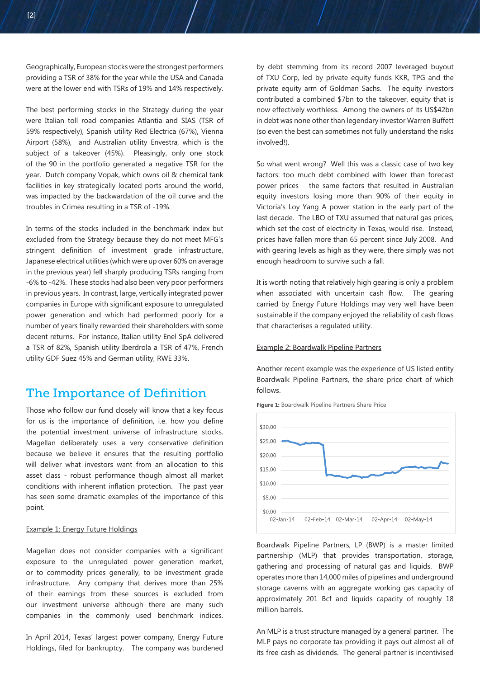Geographically, European stocks were the strongest performers providing a TSR of 38% for the year while the USA and Canada were at the lower end with TSRs of 19% and 14% respectively.

The best performing stocks in the Strategy during the year were Italian toll road companies Atlantia and SIAS (TSR of 59% respectively), Spanish utility Red Electrica (67%), Vienna Airport (58%), and Australian utility Envestra, which is the subject of a takeover (45%). Pleasingly, only one stock of the 90 in the portfolio generated a negative TSR for the year. Dutch company Vopak, which owns oil & chemical tank facilities in key strategically located ports around the world, was impacted by the backwardation of the oil curve and the troubles in Crimea resulting in a TSR of -19%.

In terms of the stocks included in the benchmark index but excluded from the Strategy because they do not meet MFG's stringent definition of investment grade infrastructure, Japanese electrical utilities (which were up over 60% on average in the previous year) fell sharply producing TSRs ranging from -6% to -42%. These stocks had also been very poor performers in previous years. In contrast, large, vertically integrated power companies in Europe with significant exposure to unregulated power generation and which had performed poorly for a number of years finally rewarded their shareholders with some decent returns. For instance, Italian utility Enel SpA delivered a TSR of 82%, Spanish utility Iberdrola a TSR of 47%, French utility GDF Suez 45% and German utility, RWE 33%.

## The Importance of Definition

Those who follow our fund closely will know that a key focus for us is the importance of definition, i.e. how you define the potential investment universe of infrastructure stocks. Magellan deliberately uses a very conservative definition because we believe it ensures that the resulting portfolio will deliver what investors want from an allocation to this asset class - robust performance though almost all market conditions with inherent inflation protection. The past year has seen some dramatic examples of the importance of this point.

#### Example 1: Energy Future Holdings

Magellan does not consider companies with a significant exposure to the unregulated power generation market, or to commodity prices generally, to be investment grade infrastructure. Any company that derives more than 25% of their earnings from these sources is excluded from our investment universe although there are many such companies in the commonly used benchmark indices.

In April 2014, Texas' largest power company, Energy Future Holdings, filed for bankruptcy. The company was burdened by debt stemming from its record 2007 leveraged buyout of TXU Corp, led by private equity funds KKR, TPG and the private equity arm of Goldman Sachs. The equity investors contributed a combined \$7bn to the takeover, equity that is now effectively worthless. Among the owners of its US\$42bn in debt was none other than legendary investor Warren Buffett (so even the best can sometimes not fully understand the risks involved!).

So what went wrong? Well this was a classic case of two key factors: too much debt combined with lower than forecast power prices – the same factors that resulted in Australian equity investors losing more than 90% of their equity in Victoria's Loy Yang A power station in the early part of the last decade. The LBO of TXU assumed that natural gas prices, which set the cost of electricity in Texas, would rise. Instead, prices have fallen more than 65 percent since July 2008. And with gearing levels as high as they were, there simply was not enough headroom to survive such a fall.

It is worth noting that relatively high gearing is only a problem when associated with uncertain cash flow. The gearing carried by Energy Future Holdings may very well have been sustainable if the company enjoyed the reliability of cash flows that characterises a regulated utility.

#### Example 2: Boardwalk Pipeline Partners

Another recent example was the experience of US listed entity Boardwalk Pipeline Partners, the share price chart of which follows.

**Figure 1:** Boardwalk Pipeline Partners Share Price



Boardwalk Pipeline Partners, LP (BWP) is a master limited partnership (MLP) that provides transportation, storage, gathering and processing of natural gas and liquids. BWP operates more than 14,000 miles of pipelines and underground storage caverns with an aggregate working gas capacity of approximately 201 Bcf and liquids capacity of roughly 18 million barrels.

An MLP is a trust structure managed by a general partner. The MLP pays no corporate tax providing it pays out almost all of its free cash as dividends. The general partner is incentivised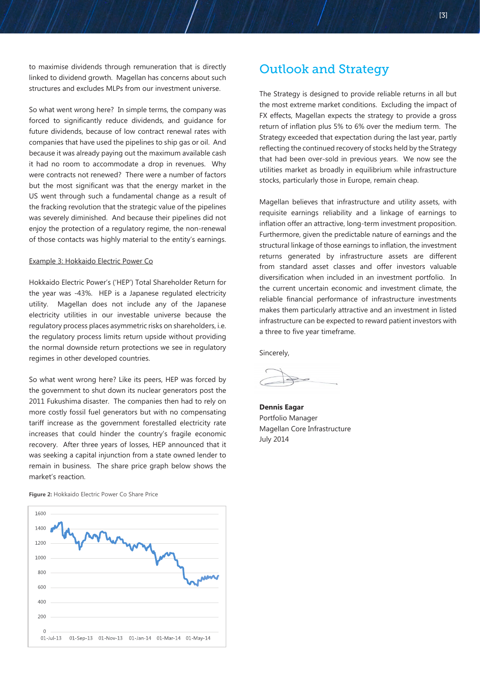to maximise dividends through remuneration that is directly linked to dividend growth. Magellan has concerns about such structures and excludes MLPs from our investment universe.

So what went wrong here? In simple terms, the company was forced to significantly reduce dividends, and guidance for future dividends, because of low contract renewal rates with companies that have used the pipelines to ship gas or oil. And because it was already paying out the maximum available cash it had no room to accommodate a drop in revenues. Why were contracts not renewed? There were a number of factors but the most significant was that the energy market in the US went through such a fundamental change as a result of the fracking revolution that the strategic value of the pipelines was severely diminished. And because their pipelines did not enjoy the protection of a regulatory regime, the non-renewal of those contacts was highly material to the entity's earnings.

#### Example 3: Hokkaido Electric Power Co

Hokkaido Electric Power's ('HEP') Total Shareholder Return for the year was -43%. HEP is a Japanese regulated electricity utility. Magellan does not include any of the Japanese electricity utilities in our investable universe because the regulatory process places asymmetric risks on shareholders, i.e. the regulatory process limits return upside without providing the normal downside return protections we see in regulatory regimes in other developed countries.

So what went wrong here? Like its peers, HEP was forced by the government to shut down its nuclear generators post the 2011 Fukushima disaster. The companies then had to rely on more costly fossil fuel generators but with no compensating tariff increase as the government forestalled electricity rate increases that could hinder the country's fragile economic recovery. After three years of losses, HEP announced that it was seeking a capital injunction from a state owned lender to remain in business. The share price graph below shows the market's reaction.

**Figure 2:** Hokkaido Electric Power Co Share Price



# Outlook and Strategy

The Strategy is designed to provide reliable returns in all but the most extreme market conditions. Excluding the impact of FX effects, Magellan expects the strategy to provide a gross return of inflation plus 5% to 6% over the medium term. The Strategy exceeded that expectation during the last year, partly reflecting the continued recovery of stocks held by the Strategy that had been over-sold in previous years. We now see the utilities market as broadly in equilibrium while infrastructure stocks, particularly those in Europe, remain cheap.

Magellan believes that infrastructure and utility assets, with requisite earnings reliability and a linkage of earnings to inflation offer an attractive, long-term investment proposition. Furthermore, given the predictable nature of earnings and the structural linkage of those earnings to inflation, the investment returns generated by infrastructure assets are different from standard asset classes and offer investors valuable diversification when included in an investment portfolio. In the current uncertain economic and investment climate, the reliable financial performance of infrastructure investments makes them particularly attractive and an investment in listed infrastructure can be expected to reward patient investors with a three to five year timeframe.

Sincerely,

**Dennis Eagar**  Portfolio Manager Magellan Core Infrastructure July 2014